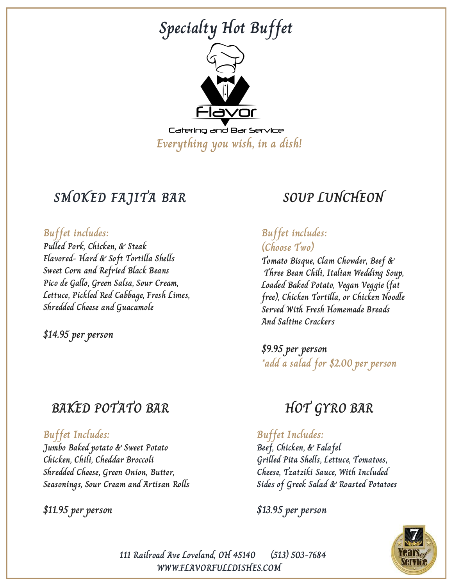

## **SMOKED FAJITA BAR**

#### **Buffet includes:**

**Pulled Pork, Chicken, & Steak Flavored- Hard & Soft Tortilla Shells Sweet Corn and Refried Black Beans Pico de Gallo, Green Salsa, Sour Cream, Lettuce, Pickled Red Cabbage, Fresh Limes, Shredded Cheese and Guacamole**

**\$14.95 per person**

### **BAKED POTATO BAR**

#### **Buffet Includes:**

**Jumbo Baked potato & Sweet Potato Chicken, Chili, Cheddar Broccoli Shredded Cheese, Green Onion, Butter, Seasonings, Sour Cream and Artisan Rolls**

#### **\$11.95 per person**

# **SOUP LUNCHEON**

#### **Buffet includes: (Choose Two)**

**Tomato Bisque, Clam Chowder, Beef & Three Bean Chili, Italian Wedding Soup, Loaded Baked Potato, Vegan Veggie (fat free), Chicken Tortilla, or Chicken Noodle Served With Fresh Homemade Breads And Saltine Crackers**

**\$9.95 per person \*add a salad for \$2.00 per person**

## **HOT GYRO BAR**

#### **Buffet Includes:**

**Beef, Chicken, & Falafel Grilled Pita Shells, Lettuce, Tomatoes, Cheese, Tzatziki Sauce, With Included Sides of Greek Salad & Roasted Potatoes**

**\$13.95 per person**



**111 Railroad Ave Loveland, OH 45140 (513) 503-7684 WWW.FLAVORFULLDISHES.COM**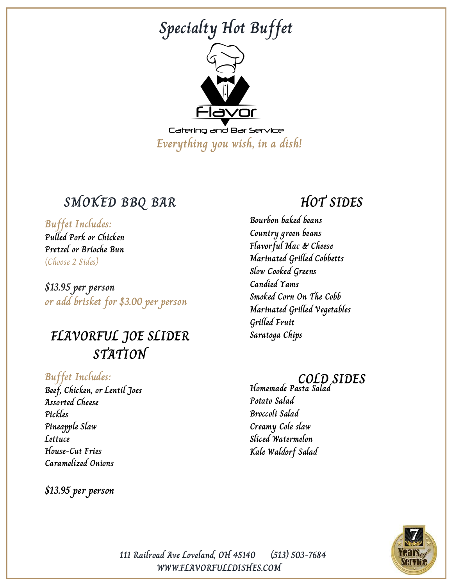

### **SMOKED BBQ BAR**

**Buffet Includes:**

**Pulled Pork or Chicken Pretzel or Brioche Bun** (Choose 2 Sides)

**\$13.95 per person or add brisket for \$3.00 per person**

## **FLAVORFUL JOE SLIDER STATION**

**Buffet Includes: Beef, Chicken, or Lentil Joes Assorted Cheese Pickles Pineapple Slaw Lettuce House-Cut Fries Caramelized Onions**

**\$13.95 per person**

### **HOT SIDES**

**Bourbon baked beans Country green beans Flavorful Mac & Cheese Marinated Grilled Cobbetts Slow Cooked Greens Candied Yams Smoked Corn On The Cobb Marinated Grilled Vegetables Grilled Fruit Saratoga Chips**

#### **COLD SIDES**

**Homemade Pasta Salad Potato Salad Broccoli Salad Creamy Cole slaw Sliced Watermelon Kale Waldorf Salad**



**WWW.FLAVORFULLDISHES.COM 111 Railroad Ave Loveland, OH 45140 (513) 503-7684**